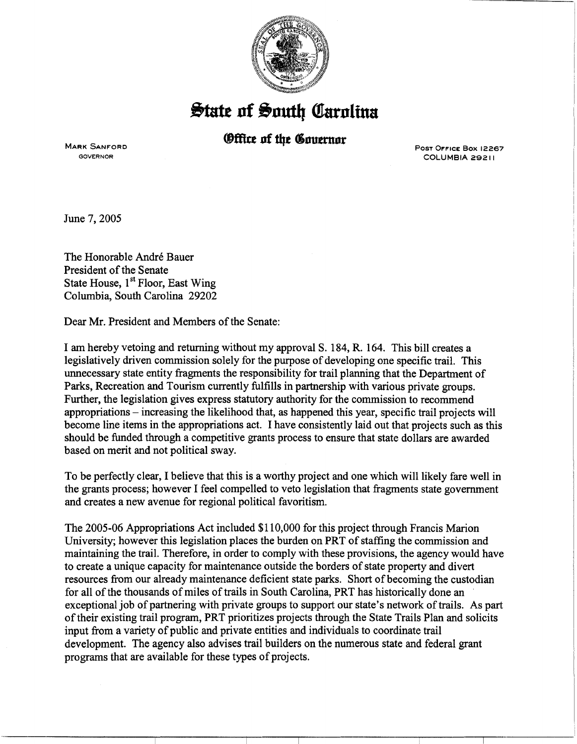

**State of South Carolina** 

*®ffice of the Governor* 

MARK SANFORD GOVERNOR

PosT OFFICE Box 12267 COLUMBIA 29211

---------,

June 7, 2005

The Honorable André Bauer President of the Senate State House, 1<sup>st</sup> Floor, East Wing Columbia, South Carolina 29202

Dear Mr. President and Members of the Senate:

I am hereby vetoing and returning without my approval S. 184, R. 164. This bill creates a legislatively driven commission solely for the purpose of developing one specific trail. This unnecessary state entity fragments the responsibility for trail planning that the Department of Parks, Recreation and Tourism currently fulfills in partnership with various private groups. Further, the legislation gives express statutory authority for the commission to recommend appropriations - increasing the likelihood that, as happened this year, specific trail projects will become line items in the appropriations act. I have consistently laid out that projects such as this should be funded through a competitive grants process to ensure that state dollars are awarded based on merit and not political sway.

To be perfectly clear, I believe that this is a worthy project and one which will likely fare well in the grants process; however I feel compelled to veto legislation that fragments state government and creates a new avenue for regional political favoritism.

The 2005-06 Appropriations Act included \$110,000 for this project through Francis Marion University; however this legislation places the burden on PRT of staffing the commission and maintaining the trail. Therefore, in order to comply with these provisions, the agency would have to create a unique capacity for maintenance outside the borders of state property and divert resources from our already maintenance deficient state parks. Short of becoming the custodian for all of the thousands of miles of trails in South Carolina, PRT has historically done an exceptional job of partnering with private groups to support our state's network of trails. As part of their existing trail program, PRT prioritizes projects through the State Trails Plan and solicits input from a variety of public and private entities and individuals to coordinate trail development. The agency also advises trail builders on the numerous state and federal grant programs that are available for these types of projects.